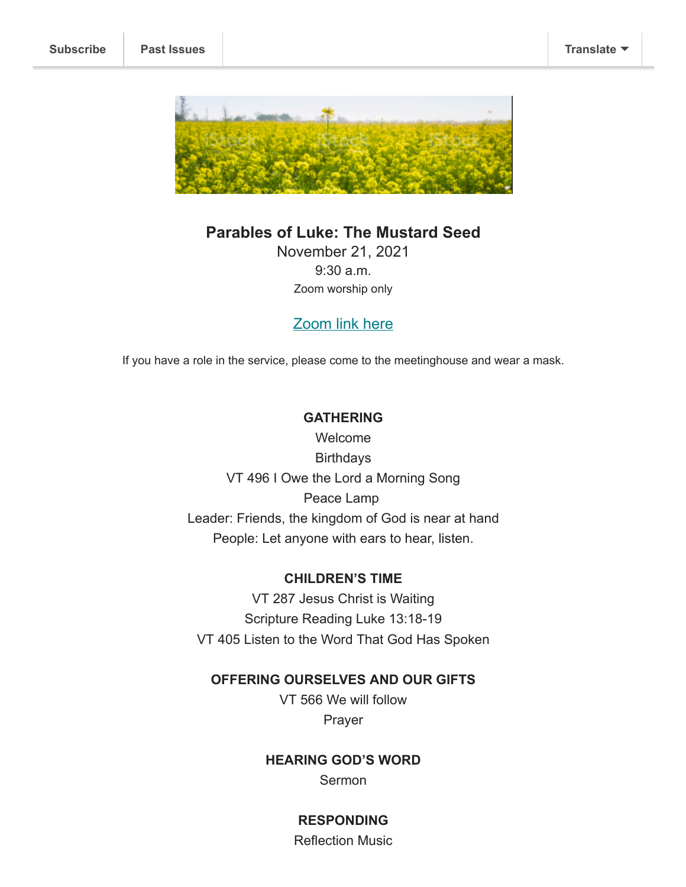

**Parables of Luke: The Mustard Seed**

November 21, 2021 9:30 a.m. Zoom worship only

## [Zoom link here](https://assemblymennonite.us11.list-manage.com/track/click?u=a8ef076c62ea17a539f8a1e19&id=203da7ce1d&e=bff165a0dc)

If you have a role in the service, please come to the meetinghouse and wear a mask.

#### **GATHERING**

Welcome **Birthdays** VT 496 I Owe the Lord a Morning Song Peace Lamp Leader: Friends, the kingdom of God is near at hand People: Let anyone with ears to hear, listen.

#### **CHILDREN'S TIME**

VT 287 Jesus Christ is Waiting Scripture Reading Luke 13:18-19 VT 405 Listen to the Word That God Has Spoken

### **OFFERING OURSELVES AND OUR GIFTS**

VT 566 We will follow Prayer

**HEARING GOD'S WORD** Sermon

# **RESPONDING**

Reflection Music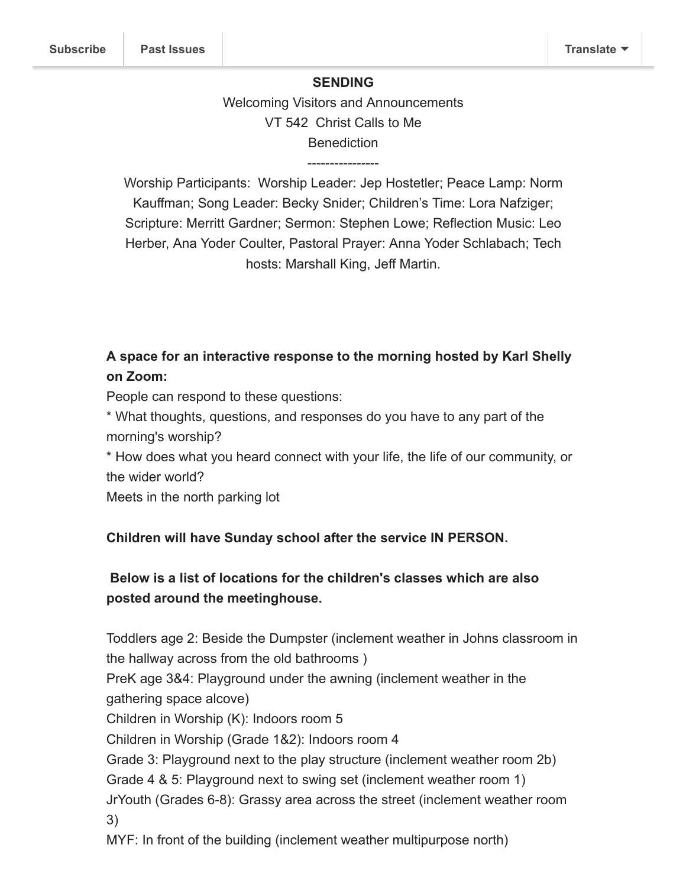#### **SENDING**

Welcoming Visitors and Announcements VT 542 Christ Calls to Me **Benediction** ----------------

Worship Participants: Worship Leader: Jep Hostetler; Peace Lamp: Norm Kauffman; Song Leader: Becky Snider; Children's Time: Lora Nafziger; Scripture: Merritt Gardner; Sermon: Stephen Lowe; Reflection Music: Leo Herber, Ana Yoder Coulter, Pastoral Prayer: Anna Yoder Schlabach; Tech hosts: Marshall King, Jeff Martin.

# **A space for an interactive response to the morning hosted by Karl Shelly on Zoom:**

People can respond to these questions:

\* What thoughts, questions, and responses do you have to any part of the morning's worship?

\* How does what you heard connect with your life, the life of our community, or the wider world?

Meets in the north parking lot

#### **Children will have Sunday school after the service IN PERSON.**

# **Below is a list of locations for the children's classes which are also posted around the meetinghouse.**

Toddlers age 2: Beside the Dumpster (inclement weather in Johns classroom in the hallway across from the old bathrooms )

PreK age 3&4: Playground under the awning (inclement weather in the gathering space alcove)

Children in Worship (K): Indoors room 5

Children in Worship (Grade 1&2): Indoors room 4

Grade 3: Playground next to the play structure (inclement weather room 2b)

Grade 4 & 5: Playground next to swing set (inclement weather room 1)

JrYouth (Grades 6-8): Grassy area across the street (inclement weather room 3)

MYF: In front of the building (inclement weather multipurpose north)